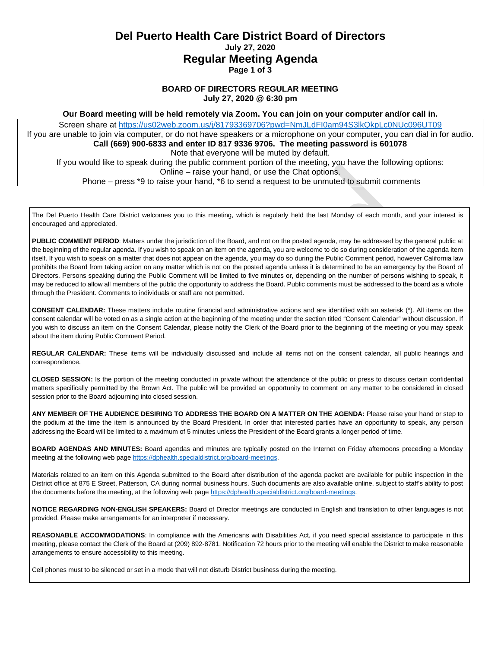## **Del Puerto Health Care District Board of Directors July 27, 2020 Regular Meeting Agenda Page 1 of 3**

#### **BOARD OF DIRECTORS REGULAR MEETING July 27, 2020 @ 6:30 pm**

**Our Board meeting will be held remotely via Zoom. You can join on your computer and/or call in.**

Screen share at<https://us02web.zoom.us/j/81793369706?pwd=NmJLdFI0am94S3lkQkpLc0NUc096UT09> If you are unable to join via computer, or do not have speakers or a microphone on your computer, you can dial in for audio. **Call (669) 900-6833 and enter ID 817 9336 9706. The meeting password is 601078** Note that everyone will be muted by default. If you would like to speak during the public comment portion of the meeting, you have the following options: Online – raise your hand, or use the Chat options. Phone – press \*9 to raise your hand, \*6 to send a request to be unmuted to submit comments

The Del Puerto Health Care District welcomes you to this meeting, which is regularly held the last Monday of each month, and your interest is encouraged and appreciated.

**PUBLIC COMMENT PERIOD**: Matters under the jurisdiction of the Board, and not on the posted agenda, may be addressed by the general public at the beginning of the regular agenda. If you wish to speak on an item on the agenda, you are welcome to do so during consideration of the agenda item itself. If you wish to speak on a matter that does not appear on the agenda, you may do so during the Public Comment period, however California law prohibits the Board from taking action on any matter which is not on the posted agenda unless it is determined to be an emergency by the Board of Directors. Persons speaking during the Public Comment will be limited to five minutes or, depending on the number of persons wishing to speak, it may be reduced to allow all members of the public the opportunity to address the Board. Public comments must be addressed to the board as a whole through the President. Comments to individuals or staff are not permitted.

**CONSENT CALENDAR:** These matters include routine financial and administrative actions and are identified with an asterisk (\*). All items on the consent calendar will be voted on as a single action at the beginning of the meeting under the section titled "Consent Calendar" without discussion. If you wish to discuss an item on the Consent Calendar, please notify the Clerk of the Board prior to the beginning of the meeting or you may speak about the item during Public Comment Period.

**REGULAR CALENDAR:** These items will be individually discussed and include all items not on the consent calendar, all public hearings and correspondence.

**CLOSED SESSION:** Is the portion of the meeting conducted in private without the attendance of the public or press to discuss certain confidential matters specifically permitted by the Brown Act. The public will be provided an opportunity to comment on any matter to be considered in closed session prior to the Board adjourning into closed session.

**ANY MEMBER OF THE AUDIENCE DESIRING TO ADDRESS THE BOARD ON A MATTER ON THE AGENDA:** Please raise your hand or step to the podium at the time the item is announced by the Board President. In order that interested parties have an opportunity to speak, any person addressing the Board will be limited to a maximum of 5 minutes unless the President of the Board grants a longer period of time.

**BOARD AGENDAS AND MINUTES:** Board agendas and minutes are typically posted on the Internet on Friday afternoons preceding a Monday meeting at the following web pag[e https://dphealth.specialdistrict.org/board-meetings.](https://dphealth.specialdistrict.org/board-meetings)

Materials related to an item on this Agenda submitted to the Board after distribution of the agenda packet are available for public inspection in the District office at 875 E Street, Patterson, CA during normal business hours. Such documents are also available online, subject to staff's ability to post the documents before the meeting, at the following web pag[e https://dphealth.specialdistrict.org/board-meetings.](https://dphealth.specialdistrict.org/board-meetings)

**NOTICE REGARDING NON-ENGLISH SPEAKERS:** Board of Director meetings are conducted in English and translation to other languages is not provided. Please make arrangements for an interpreter if necessary.

**REASONABLE ACCOMMODATIONS**: In compliance with the Americans with Disabilities Act, if you need special assistance to participate in this meeting, please contact the Clerk of the Board at (209) 892-8781. Notification 72 hours prior to the meeting will enable the District to make reasonable arrangements to ensure accessibility to this meeting.

Cell phones must to be silenced or set in a mode that will not disturb District business during the meeting.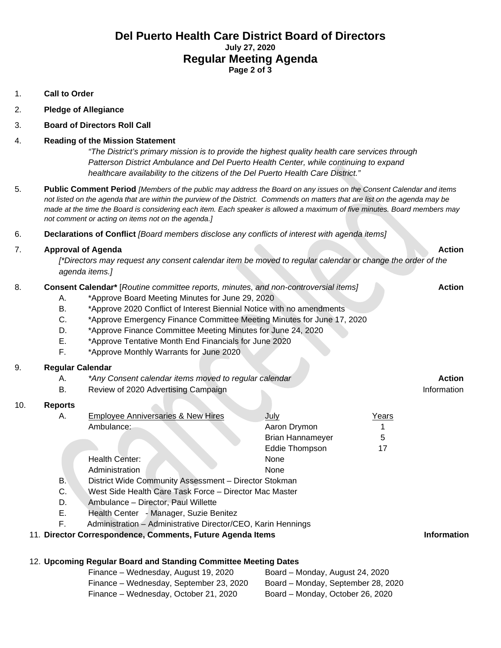## **Del Puerto Health Care District Board of Directors July 27, 2020 Regular Meeting Agenda Page 2 of 3**

- 1. **Call to Order**
- 2. **Pledge of Allegiance**
- 3. **Board of Directors Roll Call**

#### 4. **Reading of the Mission Statement**

*"The District's primary mission is to provide the highest quality health care services through Patterson District Ambulance and Del Puerto Health Center, while continuing to expand healthcare availability to the citizens of the Del Puerto Health Care District."*

- 5. **Public Comment Period** *[Members of the public may address the Board on any issues on the Consent Calendar and items not listed on the agenda that are within the purview of the District. Commends on matters that are list on the agenda may be made at the time the Board is considering each item. Each speaker is allowed a maximum of five minutes. Board members may not comment or acting on items not on the agenda.]*
- 6. **Declarations of Conflict** *[Board members disclose any conflicts of interest with agenda items]*

### 7. **Approval of Agenda Action**

*[\*Directors may request any consent calendar item be moved to regular calendar or change the order of the agenda items.]*

#### 8. **Consent Calendar\*** [*Routine committee reports, minutes, and non-controversial items]* **Action**

- A. \*Approve Board Meeting Minutes for June 29, 2020
- B. \*Approve 2020 Conflict of Interest Biennial Notice with no amendments
- C. \*Approve Emergency Finance Committee Meeting Minutes for June 17, 2020
- D. \*Approve Finance Committee Meeting Minutes for June 24, 2020
- E. \*Approve Tentative Month End Financials for June 2020
- F. \*Approve Monthly Warrants for June 2020

### 9. **Regular Calendar**

- A. *\*Any Consent calendar items moved to regular calendar* **Action**
- B. Review of 2020 Advertising Campaign Information Information Information

## 10. **Reports**

| А. | <b>Employee Anniversaries &amp; New Hires</b>          | July                    | Years |
|----|--------------------------------------------------------|-------------------------|-------|
|    | Ambulance:                                             | Aaron Drymon            |       |
|    |                                                        | <b>Brian Hannameyer</b> | 5     |
|    |                                                        | Eddie Thompson          | 17    |
|    | Health Center:                                         | None                    |       |
|    | Administration                                         | <b>None</b>             |       |
| В. | District Wide Community Assessment - Director Stokman  |                         |       |
| C. | West Side Health Care Task Force - Director Mac Master |                         |       |

- D. Ambulance Director, Paul Willette
- E. Health Center Manager, Suzie Benitez
- F. Administration Administrative Director/CEO, Karin Hennings

### 11. **Director Correspondence, Comments, Future Agenda Items Information**

### 12. **Upcoming Regular Board and Standing Committee Meeting Dates**

| Finance – Wednesday, August 19, 2020    | Board – Monday, August 24, 2020    |
|-----------------------------------------|------------------------------------|
| Finance – Wednesday, September 23, 2020 | Board - Monday, September 28, 2020 |
| Finance - Wednesday, October 21, 2020   | Board – Monday, October 26, 2020   |